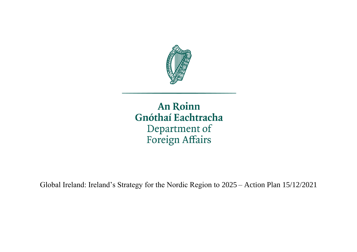

An Roinn Gnóthaí Eachtracha Department of Foreign Affairs

Global Ireland: Ireland's Strategy for the Nordic Region to 2025 – Action Plan 15/12/2021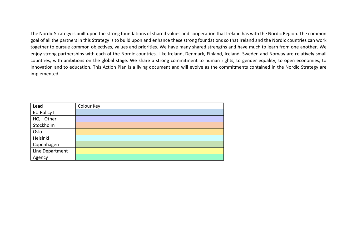The Nordic Strategy is built upon the strong foundations of shared values and cooperation that Ireland has with the Nordic Region. The common goal of all the partners in this Strategy is to build upon and enhance these strong foundations so that Ireland and the Nordic countries can work together to pursue common objectives, values and priorities. We have many shared strengths and have much to learn from one another. We enjoy strong partnerships with each of the Nordic countries. Like Ireland, Denmark, Finland, Iceland, Sweden and Norway are relatively small countries, with ambitions on the global stage. We share a strong commitment to human rights, to gender equality, to open economies, to innovation and to education. This Action Plan is a living document and will evolve as the commitments contained in the Nordic Strategy are implemented.

| Lead            | Colour Key |
|-----------------|------------|
| EU Policy I     |            |
| $HQ - Other$    |            |
| Stockholm       |            |
| Oslo            |            |
| Helsinki        |            |
| Copenhagen      |            |
| Line Department |            |
| Agency          |            |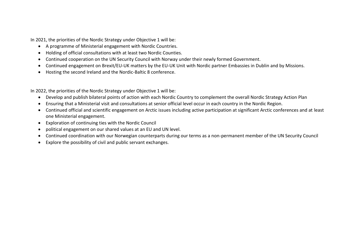In 2021, the priorities of the Nordic Strategy under Objective 1 will be:

- A programme of Ministerial engagement with Nordic Countries.
- Holding of official consultations with at least two Nordic Counties.
- Continued cooperation on the UN Security Council with Norway under their newly formed Government.
- Continued engagement on Brexit/EU-UK matters by the EU-UK Unit with Nordic partner Embassies in Dublin and by Missions.
- Hosting the second Ireland and the Nordic-Baltic 8 conference.

In 2022, the priorities of the Nordic Strategy under Objective 1 will be:

- Develop and publish bilateral points of action with each Nordic Country to complement the overall Nordic Strategy Action Plan
- Ensuring that a Ministerial visit and consultations at senior official level occur in each country in the Nordic Region.
- Continued official and scientific engagement on Arctic issues including active participation at significant Arctic conferences and at least one Ministerial engagement.
- Exploration of continuing ties with the Nordic Council
- political engagement on our shared values at an EU and UN level.
- Continued coordination with our Norwegian counterparts during our terms as a non-permanent member of the UN Security Council
- Explore the possibility of civil and public servant exchanges.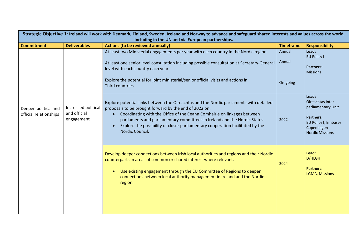| Strategic Objective 1: Ireland will work with Denmark, Finland, Sweden, Iceland and Norway to advance and safeguard shared interests and values across the world,<br>including in the UN and via European partnerships. |                                                   |                                                                                                                                                                                                                                                                                                                                                                                                                 |                              |                                                                                                                                     |  |
|-------------------------------------------------------------------------------------------------------------------------------------------------------------------------------------------------------------------------|---------------------------------------------------|-----------------------------------------------------------------------------------------------------------------------------------------------------------------------------------------------------------------------------------------------------------------------------------------------------------------------------------------------------------------------------------------------------------------|------------------------------|-------------------------------------------------------------------------------------------------------------------------------------|--|
| <b>Commitment</b>                                                                                                                                                                                                       | <b>Deliverables</b>                               | <b>Actions (to be reviewed annually)</b>                                                                                                                                                                                                                                                                                                                                                                        | <b>Timeframe</b>             | <b>Responsibility</b>                                                                                                               |  |
|                                                                                                                                                                                                                         |                                                   | At least two Ministerial engagements per year with each country in the Nordic region<br>At least one senior level consultation including possible consultation at Secretary-General<br>level with each country each year.<br>Explore the potential for joint ministerial/senior official visits and actions in<br>Third countries.                                                                              | Annual<br>Annual<br>On-going | Lead:<br><b>EU Policy I</b><br><b>Partners:</b><br><b>Missions</b>                                                                  |  |
| Deepen political and<br>official relationships                                                                                                                                                                          | Increased political<br>and official<br>engagement | Explore potential links between the Oireachtas and the Nordic parliaments with detailed<br>proposals to be brought forward by the end of 2022 on:<br>Coordinating with the Office of the Ceann Comhairle on linkages between<br>parliaments and parliamentary committees in Ireland and the Nordic States.<br>Explore the possibility of closer parliamentary cooperation facilitated by the<br>Nordic Council. | 2022                         | Lead:<br>Oireachtas Inter<br>parliamentary Unit<br><b>Partners:</b><br>EU Policy I, Embassy<br>Copenhagen<br><b>Nordic Missions</b> |  |
|                                                                                                                                                                                                                         |                                                   | Develop deeper connections between Irish local authorities and regions and their Nordic<br>counterparts in areas of common or shared interest where relevant.<br>Use existing engagement through the EU Committee of Regions to deepen<br>$\bullet$<br>connections between local authority management in Ireland and the Nordic<br>region.                                                                      | 2024                         | Lead:<br>D/HLGH<br><b>Partners:</b><br><b>LGMA, Missions</b>                                                                        |  |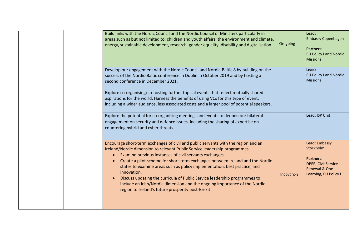| Build links with the Nordic Council and the Nordic Council of Ministers particularly in<br>areas such as but not limited to; children and youth affairs, the environment and climate,<br>energy, sustainable development, research, gender equality, disability and digitalisation.                                                                                                                                                                                                                                                                                                                                                                | On-going  | Lead:<br><b>Embassy Copenhagen</b><br><b>Partners:</b><br><b>EU Policy I and Nordic</b><br><b>Missions</b>             |
|----------------------------------------------------------------------------------------------------------------------------------------------------------------------------------------------------------------------------------------------------------------------------------------------------------------------------------------------------------------------------------------------------------------------------------------------------------------------------------------------------------------------------------------------------------------------------------------------------------------------------------------------------|-----------|------------------------------------------------------------------------------------------------------------------------|
| Develop our engagement with the Nordic Council and Nordic-Baltic 8 by building on the<br>success of the Nordic-Baltic conference in Dublin in October 2019 and by hosting a<br>second conference in December 2021.<br>Explore co-organising/co-hosting further topical events that reflect mutually shared<br>aspirations for the world. Harness the benefits of using VCs for this type of event,<br>including a wider audience, less associated costs and a larger pool of potential speakers.                                                                                                                                                   |           | Lead:<br>EU Policy I and Nordic<br><b>Missions</b>                                                                     |
| Explore the potential for co-organising meetings and events to deepen our bilateral<br>engagement on security and defence issues, including the sharing of expertise on<br>countering hybrid and cyber threats.                                                                                                                                                                                                                                                                                                                                                                                                                                    |           | Lead: ISP Unit                                                                                                         |
| Encourage short-term exchanges of civil and public servants with the region and an<br>Ireland/Nordic dimension to relevant Public Service leadership programmes.<br>Examine previous instances of civil servants exchanges<br>$\bullet$<br>Create a pilot scheme for short-term exchanges between Ireland and the Nordic<br>states to examine areas such as policy implementation, best practice, and<br>innovation.<br>Discuss updating the curricula of Public Service leadership programmes to<br>$\bullet$<br>include an Irish/Nordic dimension and the ongoing importance of the Nordic<br>region to Ireland's future prosperity post-Brexit. | 2022/2023 | Lead: Embassy<br>Stockholm<br><b>Partners:</b><br><b>DPER; Civil Service</b><br>Renewal & One<br>Learning, EU Policy I |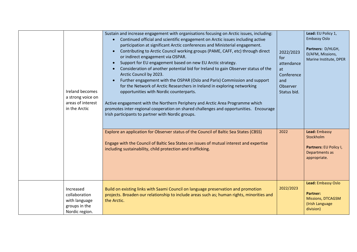| Ireland becomes<br>a strong voice on<br>areas of interest<br>in the Arctic     | Sustain and increase engagement with organisations focusing on Arctic issues, including:<br>Continued official and scientific engagement on Arctic issues including active<br>$\bullet$<br>participation at significant Arctic conferences and Ministerial engagement.<br>Contributing to Arctic Council working groups (PAME, CAFF, etc) through direct<br>$\bullet$<br>or indirect engagement via OSPAR.<br>Support for EU engagement based on new EU Arctic strategy.<br>$\bullet$<br>Consideration of another potential bid for Ireland to gain Observer status of the<br>Arctic Council by 2023.<br>Further engagement with the OSPAR (Oslo and Paris) Commission and support<br>$\bullet$<br>for the Network of Arctic Researchers in Ireland in exploring networking<br>opportunities with Nordic counterparts.<br>Active engagement with the Northern Periphery and Arctic Area Programme which<br>promotes inter-regional cooperation on shared challenges and opportunities. Encourage<br>Irish participants to partner with Nordic groups. | 2022/2023<br>for<br>attendance<br>at<br>Conference<br>and<br>Observer<br>Status bid. | Lead: EU Policy 1,<br><b>Embassy Oslo</b><br>Partners: D/HLGH,<br>D/AFM, Missions,<br>Marine Institute, DPER |
|--------------------------------------------------------------------------------|-------------------------------------------------------------------------------------------------------------------------------------------------------------------------------------------------------------------------------------------------------------------------------------------------------------------------------------------------------------------------------------------------------------------------------------------------------------------------------------------------------------------------------------------------------------------------------------------------------------------------------------------------------------------------------------------------------------------------------------------------------------------------------------------------------------------------------------------------------------------------------------------------------------------------------------------------------------------------------------------------------------------------------------------------------|--------------------------------------------------------------------------------------|--------------------------------------------------------------------------------------------------------------|
|                                                                                | Explore an application for Observer status of the Council of Baltic Sea States (CBSS)<br>Engage with the Council of Baltic Sea States on issues of mutual interest and expertise<br>including sustainability, child protection and trafficking.                                                                                                                                                                                                                                                                                                                                                                                                                                                                                                                                                                                                                                                                                                                                                                                                       | 2022                                                                                 | Lead: Embassy<br>Stockholm<br>Partners: EU Policy I,<br>Departments as<br>appropriate.                       |
| Increased<br>collaboration<br>with language<br>groups in the<br>Nordic region. | Build on existing links with Saami Council on language preservation and promotion<br>projects. Broaden our relationship to include areas such as; human rights, minorities and<br>the Arctic.                                                                                                                                                                                                                                                                                                                                                                                                                                                                                                                                                                                                                                                                                                                                                                                                                                                         | 2022/2023                                                                            | Lead: Embassy Oslo<br><b>Partner:</b><br><b>Missions, DTCAGSM</b><br>(Irish Language<br>division)            |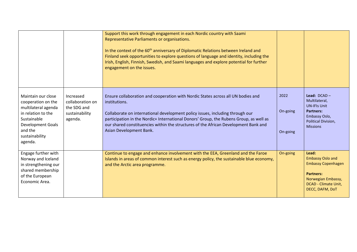|                                                                                                                                                                          |                                                                           | Support this work through engagement in each Nordic country with Saami<br>Representative Parliaments or organisations.<br>In the context of the 60 <sup>th</sup> anniversary of Diplomatic Relations between Ireland and<br>Finland seek opportunities to explore questions of language and identity, including the<br>Irish, English, Finnish, Swedish, and Saami languages and explore potential for further<br>engagement on the issues. |                              |                                                                                                                                                    |
|--------------------------------------------------------------------------------------------------------------------------------------------------------------------------|---------------------------------------------------------------------------|---------------------------------------------------------------------------------------------------------------------------------------------------------------------------------------------------------------------------------------------------------------------------------------------------------------------------------------------------------------------------------------------------------------------------------------------|------------------------------|----------------------------------------------------------------------------------------------------------------------------------------------------|
| Maintain our close<br>cooperation on the<br>multilateral agenda<br>in relation to the<br>Sustainable<br><b>Development Goals</b><br>and the<br>sustainability<br>agenda. | Increased<br>collaboration on<br>the SDG and<br>sustainability<br>agenda. | Ensure collaboration and cooperation with Nordic States across all UN bodies and<br>institutions.<br>Collaborate on international development policy issues, including through our<br>participation in the Nordic+ International Donors' Group, the Rubens Group, as well as<br>our shared constituencies within the structures of the African Development Bank and<br>Asian Development Bank.                                              | 2022<br>On-going<br>On-going | Lead: $DCAD -$<br>Multilateral,<br><b>UN-IFIs Unit</b><br><b>Partners:</b><br>Embassy Oslo,<br>Political Division,<br><b>Missions</b>              |
| Engage further with<br>Norway and Iceland<br>in strengthening our<br>shared membership<br>of the European<br>Economic Area.                                              |                                                                           | Continue to engage and enhance involvement with the EEA, Greenland and the Faroe<br>Islands in areas of common interest such as energy policy, the sustainable blue economy,<br>and the Arctic area programme.                                                                                                                                                                                                                              | On-going                     | Lead:<br><b>Embassy Oslo and</b><br><b>Embassy Copenhagen</b><br><b>Partners:</b><br>Norwegian Embassy,<br>DCAD - Climate Unit,<br>DECC, DAFM, DoT |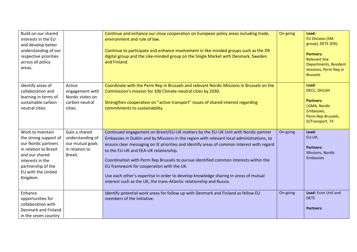| Build on our shared<br>interests in the EU<br>and develop better<br>understanding of our<br>respective priorities<br>across all policy<br>areas.                                        |                                                                                    | Continue and enhance our close cooperation on European policy areas including trade,<br>environment and rule of law.<br>Continue to participate and enhance involvement in like-minded groups such as the D9<br>digital group and the Like-minded group on the Single Market with Denmark, Sweden<br>and Finland.                                                                                                                                                                                                                                                                                                         | On-going | Lead:<br><b>EU Division (SM</b><br>group), DETE (D9);<br><b>Partners:</b><br><b>Relevant line</b><br><b>Departments, Resident</b><br>missions, Perm Rep in<br><b>Brussels</b> |
|-----------------------------------------------------------------------------------------------------------------------------------------------------------------------------------------|------------------------------------------------------------------------------------|---------------------------------------------------------------------------------------------------------------------------------------------------------------------------------------------------------------------------------------------------------------------------------------------------------------------------------------------------------------------------------------------------------------------------------------------------------------------------------------------------------------------------------------------------------------------------------------------------------------------------|----------|-------------------------------------------------------------------------------------------------------------------------------------------------------------------------------|
| Identify areas of<br>collaboration and<br>learning in terms of<br>sustainable carbon-<br>neutral cities.                                                                                | Active<br>engagement with<br>Nordic states on<br>carbon-neutral<br>cities.         | Coordinate with the Perm Rep in Brussels and relevant Nordic Missions in Brussels on the<br>Commission's mission for 100 Climate-neutral cities by 2030.<br>Strengthen cooperation on "active transport" issues of shared interest regarding<br>commitments to sustainability.                                                                                                                                                                                                                                                                                                                                            |          | Lead:<br>DECC, DHLGH<br><b>Partners:</b><br>LGMA, Nordic<br>Embassies,<br>Perm-Rep Brussels,<br>D/Transport, TII                                                              |
| Work to maintain<br>the strong support of<br>our Nordic partners<br>in relation to Brexit<br>and our shared<br>interests in the<br>partnership of the<br>EU with the United<br>Kingdom. | Gain a shared<br>understanding of<br>our mutual goals<br>in relation to<br>Brexit. | Continued engagement on Brexit/EU-UK matters by the EU-UK Unit with Nordic partner<br>Embassies in Dublin and by Missions in the region with relevant local administrations, to<br>ensure clear messaging on IE priorities and identify areas of common interest with regard<br>to the EU-UK and EEA-UK relationship.<br>Coordination with Perm Rep Brussels to pursue identified common interests within the<br>EU framework for cooperation with the UK.<br>Use each other's expertise in order to develop knowledge sharing in areas of mutual<br>interest such as the UK, the trans-Atlantic relationship and Russia. | On-going | Lead:<br>EU-UK,<br><b>Partners:</b><br>Missions, Nordic<br>Embassies                                                                                                          |
| Enhance<br>opportunities for<br>collaboration with<br>Denmark and Finland<br>in the seven country                                                                                       |                                                                                    | Identify potential work areas for follow up with Denmark and Finland as fellow EU<br>members of the Initiative.                                                                                                                                                                                                                                                                                                                                                                                                                                                                                                           | On-going | Lead: Econ Unit and<br><b>DETE</b><br><b>Partners:</b>                                                                                                                        |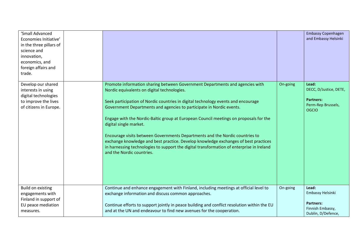| 'Small Advanced<br>Economies Initiative'<br>in the three pillars of<br>science and<br>innovation,<br>economics, and<br>foreign affairs and<br>trade. |                                                                                                                                                                                                                                                                                                                                                                                                                                                                                                                                                                                                                                                                                                              |          | <b>Embassy Copenhagen</b><br>and Embassy Helsinki                                         |
|------------------------------------------------------------------------------------------------------------------------------------------------------|--------------------------------------------------------------------------------------------------------------------------------------------------------------------------------------------------------------------------------------------------------------------------------------------------------------------------------------------------------------------------------------------------------------------------------------------------------------------------------------------------------------------------------------------------------------------------------------------------------------------------------------------------------------------------------------------------------------|----------|-------------------------------------------------------------------------------------------|
| Develop our shared<br>interests in using<br>digital technologies<br>to improve the lives<br>of citizens in Europe.                                   | Promote information sharing between Government Departments and agencies with<br>Nordic equivalents on digital technologies.<br>Seek participation of Nordic countries in digital technology events and encourage<br>Government Departments and agencies to participate in Nordic events.<br>Engage with the Nordic-Baltic group at European Council meetings on proposals for the<br>digital single market.<br>Encourage visits between Governments Departments and the Nordic countries to<br>exchange knowledge and best practice. Develop knowledge exchanges of best practices<br>in harnessing technologies to support the digital transformation of enterprise in Ireland<br>and the Nordic countries. | On-going | Lead:<br>DECC, D/Justice, DETE,<br><b>Partners:</b><br>Perm-Rep Brussels,<br><b>OGCIO</b> |
| <b>Build on existing</b><br>engagements with<br>Finland in support of<br>EU peace mediation<br>measures.                                             | Continue and enhance engagement with Finland, including meetings at official level to<br>exchange information and discuss common approaches.<br>Continue efforts to support jointly in peace building and conflict resolution within the EU<br>and at the UN and endeavour to find new avenues for the cooperation.                                                                                                                                                                                                                                                                                                                                                                                          | On-going | Lead:<br>Embassy Helsinki<br><b>Partners:</b><br>Finnish Embassy,<br>Dublin, D/Defence,   |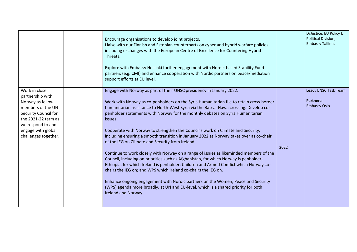|                                                                                                                                     | Encourage organisations to develop joint projects.<br>Liaise with our Finnish and Estonian counterparts on cyber and hybrid warfare policies<br>including exchanges with the European Centre of Excellence for Countering Hybrid<br>Threats.<br>Explore with Embassy Helsinki further engagement with Nordic-based Stability Fund<br>partners (e.g. CMI) and enhance cooperation with Nordic partners on peace/mediation<br>support efforts at EU level. |      | D/Justice, EU Policy I,<br>Political Division,<br>Embassy Tallinn, |
|-------------------------------------------------------------------------------------------------------------------------------------|----------------------------------------------------------------------------------------------------------------------------------------------------------------------------------------------------------------------------------------------------------------------------------------------------------------------------------------------------------------------------------------------------------------------------------------------------------|------|--------------------------------------------------------------------|
| Work in close<br>partnership with<br>Norway as fellow                                                                               | Engage with Norway as part of their UNSC presidency in January 2022.<br>Work with Norway as co-penholders on the Syria Humanitarian file to retain cross-border                                                                                                                                                                                                                                                                                          |      | Lead: UNSC Task Team<br><b>Partners:</b>                           |
| members of the UN<br>Security Council for<br>the 2021-22 term as<br>we respond to and<br>engage with global<br>challenges together. | humanitarian assistance to North-West Syria via the Bab-al-Hawa crossing. Develop co-<br>penholder statements with Norway for the monthly debates on Syria Humanitarian<br>issues.<br>Cooperate with Norway to strengthen the Council's work on Climate and Security,<br>including ensuring a smooth transition in January 2022 as Norway takes over as co-chair                                                                                         |      | <b>Embassy Oslo</b>                                                |
|                                                                                                                                     | of the IEG on Climate and Security from Ireland.<br>Continue to work closely with Norway on a range of issues as likeminded members of the<br>Council, including on priorities such as Afghanistan, for which Norway is penholder;<br>Ethiopia, for which Ireland is penholder; Children and Armed Conflict which Norway co-<br>chairs the IEG on; and WPS which Ireland co-chairs the IEG on.                                                           | 2022 |                                                                    |
|                                                                                                                                     | Enhance ongoing engagement with Nordic partners on the Women, Peace and Security<br>(WPS) agenda more broadly, at UN and EU-level, which is a shared priority for both<br>Ireland and Norway.                                                                                                                                                                                                                                                            |      |                                                                    |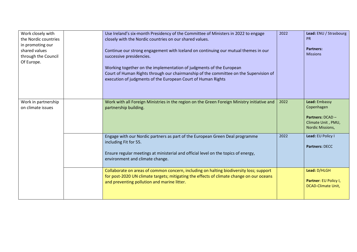| Work closely with<br>the Nordic countries<br>in promoting our<br>shared values<br>through the Council<br>Of Europe. | Use Ireland's six-month Presidency of the Committee of Ministers in 2022 to engage<br>closely with the Nordic countries on our shared values.<br>Continue our strong engagement with Iceland on continuing our mutual themes in our<br>successive presidencies.<br>Working together on the implementation of judgments of the European<br>Court of Human Rights through our chairmanship of the committee on the Supervision of<br>execution of judgments of the European Court of Human Rights | 2022 | Lead: ENU / Strasbourg<br><b>PR</b><br><b>Partners:</b><br><b>Missions</b>                |
|---------------------------------------------------------------------------------------------------------------------|-------------------------------------------------------------------------------------------------------------------------------------------------------------------------------------------------------------------------------------------------------------------------------------------------------------------------------------------------------------------------------------------------------------------------------------------------------------------------------------------------|------|-------------------------------------------------------------------------------------------|
| Work in partnership<br>on climate issues                                                                            | Work with all Foreign Ministries in the region on the Green Foreign Ministry initiative and<br>partnership building.                                                                                                                                                                                                                                                                                                                                                                            | 2022 | Lead: Embassy<br>Copenhagen<br>Partners: DCAD -<br>Climate Unit, PMU,<br>Nordic Missions, |
|                                                                                                                     | Engage with our Nordic partners as part of the European Green Deal programme<br>including Fit for 55.<br>Ensure regular meetings at ministerial and official level on the topics of energy,<br>environment and climate change.                                                                                                                                                                                                                                                                  | 2022 | Lead: EU Policy I<br>Partners: DECC                                                       |
|                                                                                                                     | Collaborate on areas of common concern, including on halting biodiversity loss; support<br>for post-2020 UN climate targets; mitigating the effects of climate change on our oceans<br>and preventing pollution and marine litter.                                                                                                                                                                                                                                                              |      | Lead: D/HLGH<br>Partner: EU Policy I,<br><b>DCAD-Climate Unit,</b>                        |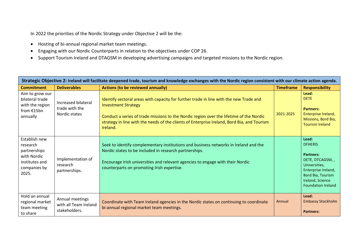In 2022 the priorities of the Nordic Strategy under Objective 2 will be the:

- Hosting of bi-annual regional market team meetings.
- Engaging with our Nordic Counterparts in relation to the objectives under COP 26.
- Support Tourism Ireland and DTAGSM in developing advertising campaigns and targeted missions to the Nordic region.

|                                                                                                     | Strategic Objective 2: Ireland will facilitate deepened trade, tourism and knowledge exchanges with the Nordic region consistent with our climate action agenda. |                                                                                                                                                                                                                                                                                                                            |                  |                                                                                                                                                                              |  |  |
|-----------------------------------------------------------------------------------------------------|------------------------------------------------------------------------------------------------------------------------------------------------------------------|----------------------------------------------------------------------------------------------------------------------------------------------------------------------------------------------------------------------------------------------------------------------------------------------------------------------------|------------------|------------------------------------------------------------------------------------------------------------------------------------------------------------------------------|--|--|
| <b>Commitment</b>                                                                                   | <b>Deliverables</b>                                                                                                                                              | <b>Actions (to be reviewed annually)</b>                                                                                                                                                                                                                                                                                   | <b>Timeframe</b> | <b>Responsibility</b>                                                                                                                                                        |  |  |
| Aim to grow our<br>bilateral trade<br>with the region<br>from $£15bn$<br>annually                   | Increased bilateral<br>trade with the<br>Nordic states                                                                                                           | Identify sectoral areas with capacity for further trade in line with the new Trade and<br><b>Investment Strategy</b><br>Conduct a series of trade missions to the Nordic region over the lifetime of the Nordic<br>strategy in line with the needs of the clients of Enterprise Ireland, Bord Bia, and Tourism<br>Ireland. | 2021-2025        | Lead:<br><b>DETE</b><br><b>Partners:</b><br>Enterprise Ireland,<br>Missions, Bord Bia,<br><b>Tourism Ireland</b>                                                             |  |  |
| Establish new<br>research<br>partnerships<br>with Nordic<br>institutes and<br>companies by<br>2025. | Implementation of<br>research<br>partnerships.                                                                                                                   | Seek to identify complementary institutions and business networks in Ireland and the<br>Nordic states to be included in research partnerships.<br>Encourage Irish universities and relevant agencies to engage with their Nordic<br>counterparts on promoting Irish expertise.                                             |                  | Lead:<br><b>DFHERIS</b><br><b>Partners:</b><br>DETE, DTCAGSM,,<br>Universities,<br>Enterprise Ireland,<br>Bord Bia, Tourism<br>Ireland, Science<br><b>Foundation Ireland</b> |  |  |
| Hold an annual<br>regional market<br>team meeting<br>to share                                       | Annual meetings<br>with all Team Ireland<br>stakeholders.                                                                                                        | Coordinate with Team Ireland agencies in the Nordic states on continuing to coordinate<br>bi-annual regional market team meetings.                                                                                                                                                                                         | Annual           | Lead:<br><b>Embassy Stockholm</b><br><b>Partners:</b>                                                                                                                        |  |  |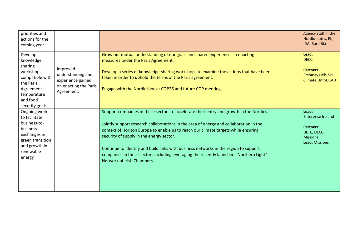| priorities and<br>actions for the<br>coming year.                                                                                       |                                                                                           |                                                                                                                                                                                                                                                                                                                                                                                                                                                                                                                                     | Agency staff in the<br>Nordic states, El,<br>IDA, Bord Bia                                                 |
|-----------------------------------------------------------------------------------------------------------------------------------------|-------------------------------------------------------------------------------------------|-------------------------------------------------------------------------------------------------------------------------------------------------------------------------------------------------------------------------------------------------------------------------------------------------------------------------------------------------------------------------------------------------------------------------------------------------------------------------------------------------------------------------------------|------------------------------------------------------------------------------------------------------------|
| Develop<br>knowledge<br>sharing<br>workshops,<br>compatible with<br>the Paris<br>Agreement<br>temperature<br>and food<br>security goals | Improved<br>understanding and<br>experience gained<br>on enacting the Paris<br>Agreement. | Grow our mutual understanding of our goals and shared experiences in enacting<br>measures under the Paris Agreement.<br>Develop a series of knowledge-sharing workshops to examine the actions that have been<br>taken in order to uphold the terms of the Paris agreement.<br>Engage with the Nordic bloc at COP26 and future COP meetings.                                                                                                                                                                                        | Lead:<br><b>DECC</b><br><b>Partners:</b><br>Embassy Helsinki,<br><b>Climate Unit-DCAD</b>                  |
| Ongoing work<br>to facilitate<br>business-to-<br>business<br>exchanges in<br>green transition<br>and growth in<br>renewable<br>energy   |                                                                                           | Support companies in these sectors to accelerate their entry and growth in the Nordics.<br>Jointly support research collaborations in the area of energy and collaboration in the<br>context of Horizon Europe to enable us to reach our climate targets while ensuring<br>security of supply in the energy sector.<br>Continue to identify and build links with business networks in the region to support<br>companies in these sectors including leveraging the recently launched "Northern Light"<br>Network of Irish Chambers. | Lead:<br><b>Enterprise Ireland</b><br><b>Partners:</b><br>DETE, DECC,<br><b>Missions</b><br>Lead: Missions |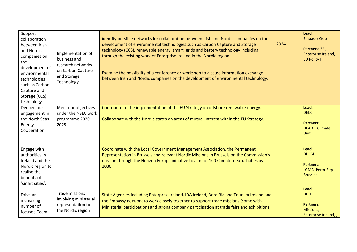| Support<br>collaboration<br>between Irish<br>and Nordic<br>companies on<br>the<br>development of<br>environmental<br>technologies<br>such as Carbon<br>Capture and<br>Storage (CCS)<br>technology | Implementation of<br>business and<br>research networks<br>on Carbon Capture<br>and Storage<br>Technology | Identify possible networks for collaboration between Irish and Nordic companies on the<br>development of environmental technologies such as Carbon Capture and Storage<br>technology (CCS), renewable energy, smart grids and battery technology including<br>through the existing work of Enterprise Ireland in the Nordic region.<br>Examine the possibility of a conference or workshop to discuss information exchange<br>between Irish and Nordic companies on the development of environmental technology. | 2024 | Lead:<br><b>Embassy Oslo</b><br>Partners: SFI,<br>Enterprise Ireland,<br><b>EU Policy I</b> |
|---------------------------------------------------------------------------------------------------------------------------------------------------------------------------------------------------|----------------------------------------------------------------------------------------------------------|------------------------------------------------------------------------------------------------------------------------------------------------------------------------------------------------------------------------------------------------------------------------------------------------------------------------------------------------------------------------------------------------------------------------------------------------------------------------------------------------------------------|------|---------------------------------------------------------------------------------------------|
| Deepen our<br>engagement in<br>the North Seas<br>Energy<br>Cooperation.                                                                                                                           | Meet our objectives<br>under the NSEC work<br>programme 2020-<br>2023                                    | Contribute to the implementation of the EU Strategy on offshore renewable energy.<br>Collaborate with the Nordic states on areas of mutual interest within the EU Strategy.                                                                                                                                                                                                                                                                                                                                      |      | Lead:<br><b>DECC</b><br><b>Partners:</b><br><b>DCAD - Climate</b><br><b>Unit</b>            |
| Engage with<br>authorities in<br>Ireland and the<br>Nordic region to<br>realise the<br>benefits of<br>'smart cities'.                                                                             |                                                                                                          | Coordinate with the Local Government Management Association, the Permanent<br>Representation in Brussels and relevant Nordic Missions in Brussels on the Commission's<br>mission through the Horizon Europe initiative to aim for 100 Climate-neutral cities by<br>2030.                                                                                                                                                                                                                                         |      | Lead:<br><b>DHLGH</b><br><b>Partners:</b><br>LGMA, Perm-Rep<br><b>Brussels</b>              |
| Drive an<br>increasing<br>number of<br>focused Team                                                                                                                                               | Trade missions<br>involving ministerial<br>representation to<br>the Nordic region                        | State Agencies including Enterprise Ireland, IDA Ireland, Bord Bia and Tourism Ireland and<br>the Embassy network to work closely together to support trade missions (some with<br>Ministerial participation) and strong company participation at trade fairs and exhibitions.                                                                                                                                                                                                                                   |      | Lead:<br><b>DETE</b><br><b>Partners:</b><br>Missions,<br>Enterprise Ireland,,               |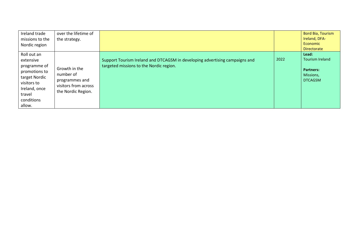| Ireland trade<br>missions to the<br>Nordic region                                                                                            | over the lifetime of<br>the strategy.                                                      |                                                                                                                        |      | Bord Bia, Tourism<br>Ireland, DFA-<br><b>Economic</b><br><b>Directorate</b>        |
|----------------------------------------------------------------------------------------------------------------------------------------------|--------------------------------------------------------------------------------------------|------------------------------------------------------------------------------------------------------------------------|------|------------------------------------------------------------------------------------|
| Roll out an<br>extensive<br>programme of<br>promotions to<br>target Nordic<br>visitors to<br>Ireland, once<br>travel<br>conditions<br>allow. | Growth in the<br>number of<br>programmes and<br>visitors from across<br>the Nordic Region. | Support Tourism Ireland and DTCAGSM in developing advertising campaigns and<br>targeted missions to the Nordic region. | 2022 | Lead:<br><b>Tourism Ireland</b><br><b>Partners:</b><br>Missions,<br><b>DTCAGSM</b> |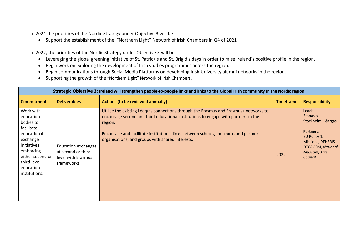In 2021 the priorities of the Nordic Strategy under Objective 3 will be:

• Support the establishment of the "Northern Light" Network of Irish Chambers in Q4 of 2021

In 2022, the priorities of the Nordic Strategy under Objective 3 will be:

- Leveraging the global greening initiative of St. Patrick's and St. Brigid's days in order to raise Ireland's positive profile in the region.
- Begin work on exploring the development of Irish studies programmes across the region.
- Begin communications through Social Media Platforms on developing Irish University alumni networks in the region.
- Supporting the growth of the "Northern Light" Network of Irish Chambers.

| Strategic Objective 3: Ireland will strengthen people-to-people links and links to the Global Irish community in the Nordic region.                                       |                                                                                      |                                                                                                                                                                                                                                                                                                                                 |                  |                                                                                                                                                          |  |  |
|---------------------------------------------------------------------------------------------------------------------------------------------------------------------------|--------------------------------------------------------------------------------------|---------------------------------------------------------------------------------------------------------------------------------------------------------------------------------------------------------------------------------------------------------------------------------------------------------------------------------|------------------|----------------------------------------------------------------------------------------------------------------------------------------------------------|--|--|
| <b>Commitment</b>                                                                                                                                                         | <b>Deliverables</b>                                                                  | <b>Actions (to be reviewed annually)</b>                                                                                                                                                                                                                                                                                        | <b>Timeframe</b> | <b>Responsibility</b>                                                                                                                                    |  |  |
| Work with<br>education<br>bodies to<br>facilitate<br>educational<br>exchange<br>initiatives<br>embracing<br>either second or<br>third-level<br>education<br>institutions. | <b>Education exchanges</b><br>at second or third<br>level with Erasmus<br>frameworks | Utilise the existing Léargas connections through the Erasmus and Erasmus+ networks to<br>encourage second and third educational institutions to engage with partners in the<br>region.<br>Encourage and facilitate institutional links between schools, museums and partner<br>organisations, and groups with shared interests. | 2022             | Lead:<br>Embassy<br>Stockholm, Léargas<br><b>Partners:</b><br>EU Policy 1,<br>Missions, DFHERIS,<br><b>DTCAGSM, National</b><br>Museum, Arts<br>Council. |  |  |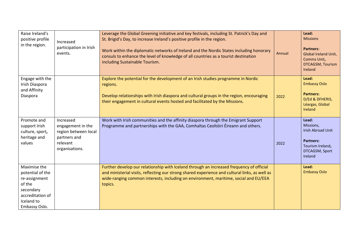| Raise Ireland's<br>positive profile<br>in the region.                                                                       | Increased<br>participation in Irish<br>events.                                                       | Leverage the Global Greening initiative and key festivals, including St. Patrick's Day and<br>St. Brigid's Day, to increase Ireland's positive profile in the region.<br>Work within the diplomatic networks of Ireland and the Nordic States including honorary<br>consuls to enhance the level of knowledge of all countries as a tourist destination<br>including Sustainable Tourism. | Annual | Lead:<br><b>Missions</b><br><b>Partners:</b><br>Global Ireland Unit,<br>Comms Unit,<br><b>DTCAGSM, Tourism</b><br>Ireland |
|-----------------------------------------------------------------------------------------------------------------------------|------------------------------------------------------------------------------------------------------|-------------------------------------------------------------------------------------------------------------------------------------------------------------------------------------------------------------------------------------------------------------------------------------------------------------------------------------------------------------------------------------------|--------|---------------------------------------------------------------------------------------------------------------------------|
| Engage with the<br>Irish Diaspora<br>and Affinity<br>Diaspora                                                               |                                                                                                      | Explore the potential for the development of an Irish studies programme in Nordic<br>regions.<br>Develop relationships with Irish diaspora and cultural groups in the region, encouraging<br>their engagement in cultural events hosted and facilitated by the Missions.                                                                                                                  | 2022   | Lead:<br><b>Embassy Oslo</b><br><b>Partners:</b><br>D/Ed & DFHERIS,<br>Léargas, Global<br><b>Ireland</b>                  |
| Promote and<br>support Irish<br>culture, sport,<br>heritage and<br>values                                                   | Increased<br>engagement in the<br>region between local<br>partners and<br>relevant<br>organisations. | Work with Irish communities and the affinity diaspora through the Emigrant Support<br>Programme and partnerships with the GAA, Comhaltas Ceoltóiri Éireann and others.                                                                                                                                                                                                                    | 2022   | Lead:<br>Missions,<br><b>Irish Abroad Unit</b><br><b>Partners:</b><br>Tourism Ireland,<br>DTCAGSM, Sport<br>Ireland       |
| Maximise the<br>potential of the<br>re-assignment<br>of the<br>secondary<br>accreditation of<br>Iceland to<br>Embassy Oslo. |                                                                                                      | Further develop our relationship with Iceland through an increased frequency of official<br>and ministerial visits, reflecting our strong shared experience and cultural links, as well as<br>wide-ranging common interests, including on environment, maritime, social and EU/EEA<br>topics.                                                                                             |        | Lead:<br><b>Embassy Oslo</b>                                                                                              |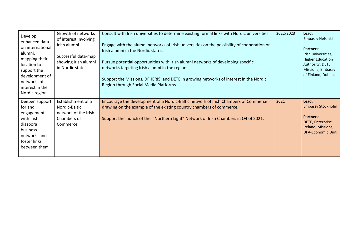| Develop<br>enhanced data<br>on international<br>alumni,<br>mapping their<br>location to<br>support the<br>development of<br>networks of<br>interest in the<br>Nordic region. | Growth of networks<br>of interest involving<br>Irish alumni.<br>Successful data-map<br>showing Irish alumni<br>in Nordic states. | Consult with Irish universities to determine existing formal links with Nordic universities.<br>Engage with the alumni networks of Irish universities on the possibility of cooperation on<br>Irish alumni in the Nordic states.<br>Pursue potential opportunities with Irish alumni networks of developing specific<br>networks targeting Irish alumni in the region.<br>Support the Missions, DFHERIS, and DETE in growing networks of interest in the Nordic<br>Region through Social Media Platforms. | 2022/2023 | Lead:<br>Embassy Helsinki<br><b>Partners:</b><br>Irish universities,<br><b>Higher Education</b><br>Authority, DETE,<br>Missions, Embassy<br>of Finland, Dublin. |
|------------------------------------------------------------------------------------------------------------------------------------------------------------------------------|----------------------------------------------------------------------------------------------------------------------------------|-----------------------------------------------------------------------------------------------------------------------------------------------------------------------------------------------------------------------------------------------------------------------------------------------------------------------------------------------------------------------------------------------------------------------------------------------------------------------------------------------------------|-----------|-----------------------------------------------------------------------------------------------------------------------------------------------------------------|
| Deepen support<br>for and<br>engagement<br>with Irish<br>diaspora<br>business<br>networks and<br>foster links<br>between them                                                | Establishment of a<br>Nordic-Baltic<br>network of the Irish<br>Chambers of<br>Commerce.                                          | Encourage the development of a Nordic-Baltic network of Irish Chambers of Commerce<br>drawing on the example of the existing country chambers of commerce.<br>Support the launch of the "Northern Light" Network of Irish Chambers in Q4 of 2021.                                                                                                                                                                                                                                                         | 2021      | Lead:<br><b>Embassy Stockholm</b><br><b>Partners:</b><br><b>DETE, Enterprise</b><br>Ireland, Missions,<br><b>DFA-Economic Unit.</b>                             |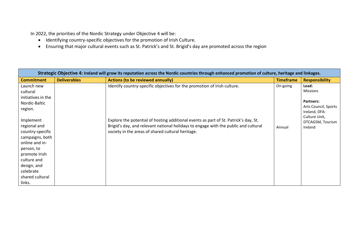In 2022, the priorities of the Nordic Strategy under Objective 4 will be:

- Identifying country-specific objectives for the promotion of Irish Culture.
- Ensuring that major cultural events such as St. Patrick's and St. Brigid's day are promoted across the region

| Strategic Objective 4: Ireland will grow its reputation across the Nordic countries through enhanced promotion of culture, heritage and linkages.            |                     |                                                                                                                                                                                                                                  |                  |                                                                            |  |
|--------------------------------------------------------------------------------------------------------------------------------------------------------------|---------------------|----------------------------------------------------------------------------------------------------------------------------------------------------------------------------------------------------------------------------------|------------------|----------------------------------------------------------------------------|--|
| <b>Commitment</b>                                                                                                                                            | <b>Deliverables</b> | <b>Actions (to be reviewed annually)</b>                                                                                                                                                                                         | <b>Timeframe</b> | <b>Responsibility</b>                                                      |  |
| Launch new<br>cultural<br>initiatives in the                                                                                                                 |                     | Identify country-specific objectives for the promotion of Irish culture.                                                                                                                                                         | On-going         | Lead:<br>Missions                                                          |  |
| Nordic-Baltic<br>region.                                                                                                                                     |                     |                                                                                                                                                                                                                                  |                  | <b>Partners:</b><br>Arts Council, Sports<br>Ireland, DFA-<br>Culture Unit, |  |
| Implement<br>regional and<br>country-specific<br>campaigns, both<br>online and in-<br>person, to<br>promote Irish<br>culture and<br>design, and<br>celebrate |                     | Explore the potential of hosting additional events as part of St. Patrick's day, St.<br>Brigid's day, and relevant national holidays to engage with the public and cultural<br>society in the areas of shared cultural heritage. | Annual           | DTCAGSM, Tourism<br>Ireland                                                |  |
| shared cultural<br>links.                                                                                                                                    |                     |                                                                                                                                                                                                                                  |                  |                                                                            |  |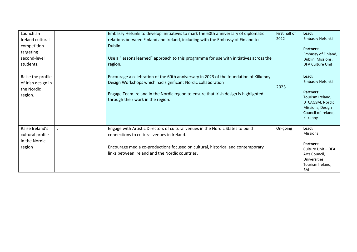| Launch an<br>Ireland cultural<br>competition<br>targeting<br>second-level<br>students. | Embassy Helsinki to develop initiatives to mark the 60th anniversary of diplomatic<br>relations between Finland and Ireland, including with the Embassy of Finland to<br>Dublin.<br>Use a "lessons learned" approach to this programme for use with initiatives across the<br>region. | First half of<br>2022 | Lead:<br>Embassy Helsinki<br><b>Partners:</b><br>Embassy of Finland,<br>Dublin, Missions,<br>DFA Culture Unit                               |
|----------------------------------------------------------------------------------------|---------------------------------------------------------------------------------------------------------------------------------------------------------------------------------------------------------------------------------------------------------------------------------------|-----------------------|---------------------------------------------------------------------------------------------------------------------------------------------|
| Raise the profile<br>of Irish design in<br>the Nordic<br>region.                       | Encourage a celebration of the 60th anniversary in 2023 of the foundation of Kilkenny<br>Design Workshops which had significant Nordic collaboration<br>Engage Team Ireland in the Nordic region to ensure that Irish design is highlighted<br>through their work in the region.      | 2023                  | Lead:<br>Embassy Helsinki<br><b>Partners:</b><br>Tourism Ireland,<br>DTCAGSM, Nordic<br>Missions, Design<br>Council of Ireland,<br>Kilkenny |
| Raise Ireland's<br>cultural profile<br>in the Nordic<br>region                         | Engage with Artistic Directors of cultural venues in the Nordic States to build<br>connections to cultural venues in Ireland.<br>Encourage media co-productions focused on cultural, historical and contemporary<br>links between Ireland and the Nordic countries.                   | On-going              | Lead:<br><b>Missions</b><br><b>Partners:</b><br>Culture Unit - DFA<br>Arts Council,<br>Universities,<br>Tourism Ireland,<br>BAI             |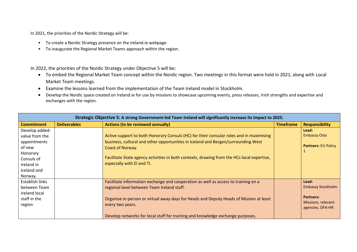In 2021, the priorities of the Nordic Strategy will be:

- To create a Nordic Strategy presence on the ireland.ie webpage.
- To inaugurate the Regional Market Teams approach within the region.

In 2022, the priorities of the Nordic Strategy under Objective 5 will be:

- To embed the Regional Market Team concept within the Nordic region. Two meetings in this format were held in 2021, along with Local Market Team meetings.
- Examine the lessons learned from the implementation of the Team Ireland model in Stockholm.
- Develop the Nordic space created on Ireland.ie for use by missions to showcase upcoming events, press releases, Irish strengths and expertise and exchanges with the region.

| Strategic Objective 5: A strong Government-led Team Ireland will significantly increase its impact to 2025.       |                     |                                                                                                                                                                                                                                                                                                                                  |                  |                                                                                                 |  |
|-------------------------------------------------------------------------------------------------------------------|---------------------|----------------------------------------------------------------------------------------------------------------------------------------------------------------------------------------------------------------------------------------------------------------------------------------------------------------------------------|------------------|-------------------------------------------------------------------------------------------------|--|
| <b>Commitment</b>                                                                                                 | <b>Deliverables</b> | <b>Actions (to be reviewed annually)</b>                                                                                                                                                                                                                                                                                         | <b>Timeframe</b> | <b>Responsibility</b>                                                                           |  |
| Develop added-<br>value from the<br>appointments<br>of new<br>Honorary<br>Consuls of<br>Ireland in<br>Iceland and |                     | Active support to both Honorary Consuls (HC) for their consular roles and in maximising<br>business, cultural and other opportunities in Iceland and Bergen/surrounding West<br>Coast of Norway.<br>Facilitate State agency activities in both contexts, drawing from the HCs local expertise,<br>especially with EI and TI.     |                  | Lead:<br><b>Embassy Oslo</b><br><b>Partners: EU Policy</b>                                      |  |
| Norway.<br>Establish links<br>between Team<br>Ireland local<br>staff in the<br>region                             |                     | Facilitate information exchange and cooperation as well as access to training on a<br>regional level between Team Ireland staff.<br>Organise in-person or virtual away days for Heads and Deputy Heads of Mission at least<br>every two years.<br>Develop networks for local staff for training and knowledge exchange purposes. |                  | Lead:<br><b>Embassy Stockholm</b><br><b>Partners:</b><br>Missions, relevant<br>agencies, DFA-HR |  |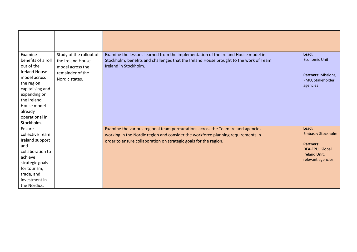| Examine<br>benefits of a roll<br>out of the<br><b>Ireland House</b><br>model across<br>the region<br>capitalising and<br>expanding on<br>the Ireland<br>House model<br>already<br>operational in<br>Stockholm. | Study of the rollout of<br>the Ireland House<br>model across the<br>remainder of the<br>Nordic states. | Examine the lessons learned from the implementation of the Ireland House model in<br>Stockholm; benefits and challenges that the Ireland House brought to the work of Team<br>Ireland in Stockholm.                                     | Lead:<br><b>Economic Unit</b><br>Partners: Missions,<br>PMU, Stakeholder<br>agencies                           |
|----------------------------------------------------------------------------------------------------------------------------------------------------------------------------------------------------------------|--------------------------------------------------------------------------------------------------------|-----------------------------------------------------------------------------------------------------------------------------------------------------------------------------------------------------------------------------------------|----------------------------------------------------------------------------------------------------------------|
| Ensure<br>collective Team<br>Ireland support<br>and<br>collaboration to<br>achieve<br>strategic goals<br>for tourism,<br>trade, and<br>investment in<br>the Nordics.                                           |                                                                                                        | Examine the various regional team permutations across the Team Ireland agencies<br>working in the Nordic region and consider the workforce planning requirements in<br>order to ensure collaboration on strategic goals for the region. | Lead:<br><b>Embassy Stockholm</b><br><b>Partners:</b><br>DFA-EPU, Global<br>Ireland Unit,<br>relevant agencies |